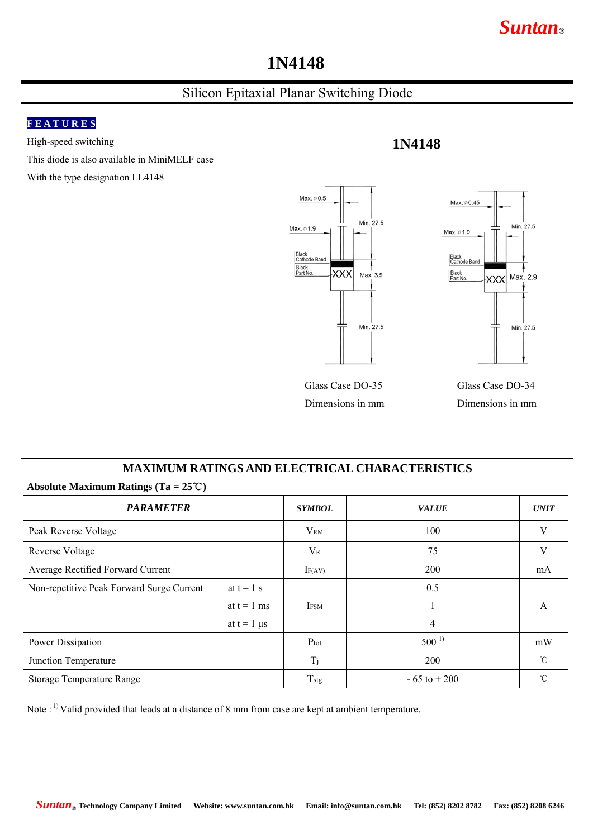## *Suntan***®**

# **1N4148**

## Silicon Epitaxial Planar Switching Diode

#### **F E A T U R E S**

High-speed switching

This diode is also available in MiniMELF case

With the type designation LL4148



**1N4148**

#### **MAXIMUM RATINGS AND ELECTRICAL CHARACTERISTICS**

| ADSOIULE MAXIMUM KAUNGS (1a = $25 \cup$ ) |                    |                  |                 |              |  |  |  |
|-------------------------------------------|--------------------|------------------|-----------------|--------------|--|--|--|
| <b>PARAMETER</b>                          |                    | <b>SYMBOL</b>    | <b>VALUE</b>    | <b>UNIT</b>  |  |  |  |
| Peak Reverse Voltage                      |                    | <b>VRM</b>       | 100             | V            |  |  |  |
| <b>Reverse Voltage</b>                    |                    | $V_{R}$          | 75              | V            |  |  |  |
| Average Rectified Forward Current         |                    | $I_{F(AV)}$      | 200             | mA           |  |  |  |
| Non-repetitive Peak Forward Surge Current | at $t = 1$ s       |                  | 0.5             |              |  |  |  |
|                                           | at $t = 1$ ms      | <b>IFSM</b>      |                 | A            |  |  |  |
|                                           | at $t = 1$ $\mu s$ |                  | 4               |              |  |  |  |
| Power Dissipation                         |                    | $P_{\text{tot}}$ | $500^{1}$       | mW           |  |  |  |
| Junction Temperature                      |                    | Tj               | 200             | $^{\circ}$ C |  |  |  |
| Storage Temperature Range                 |                    | Tstg             | $-65$ to $+200$ | $^{\circ}$ C |  |  |  |

Note : 1) Valid provided that leads at a distance of 8 mm from case are kept at ambient temperature.

**Absolute Maximum Ratings (Ta = 25**℃**)**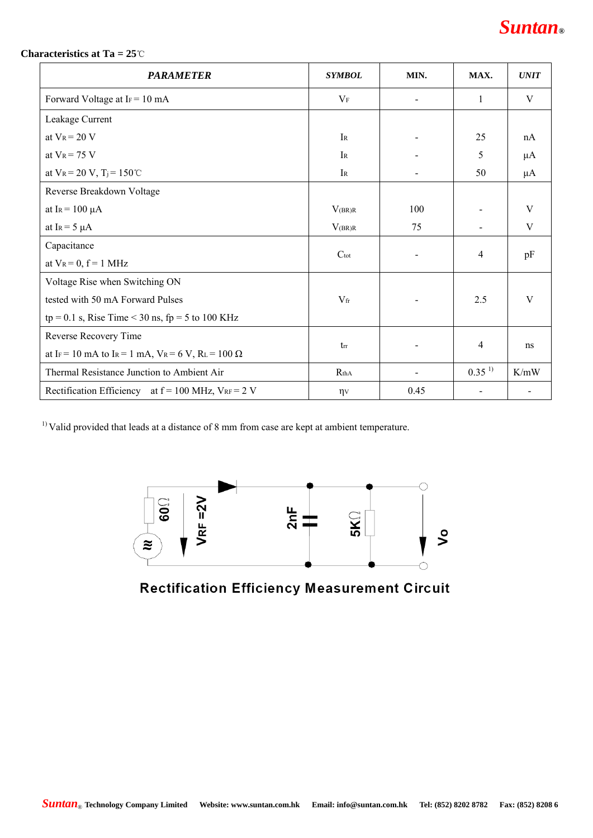#### **Characteristics at Ta = 25**℃

| <b>PARAMETER</b>                                           | <b>SYMBOL</b>    | MIN. | MAX.       | <b>UNIT</b> |
|------------------------------------------------------------|------------------|------|------------|-------------|
| Forward Voltage at $Ir = 10$ mA                            | $V_{\rm F}$      |      | 1          | V           |
| Leakage Current                                            |                  |      |            |             |
| at $V_R = 20 V$                                            | IR               |      | 25         | nA          |
| at $V_R$ = 75 V                                            | IR               |      | 5          | $\mu$ A     |
| at $V_R = 20 V$ , $T_j = 150^{\circ}$ C                    | $I_{R}$          |      | 50         | μA          |
| Reverse Breakdown Voltage                                  |                  |      |            |             |
| at IR = $100 \mu A$                                        | $V_{(BR)R}$      | 100  |            | V           |
| at I <sub>R</sub> = $5 \mu$ A                              | $V_{(BR)R}$      | 75   |            | V           |
| Capacitance                                                | $C_{\text{tot}}$ |      | 4          | pF          |
| at $V_R = 0$ , $f = 1$ MHz                                 |                  |      |            |             |
| Voltage Rise when Switching ON                             |                  |      |            |             |
| tested with 50 mA Forward Pulses                           | $V_{\rm fr}$     |      | 2.5        | V           |
| $tp = 0.1$ s, Rise Time < 30 ns, $fp = 5$ to 100 KHz       |                  |      |            |             |
| Reverse Recovery Time                                      |                  |      | 4          | ns          |
| at IF = 10 mA to IR = 1 mA, $V_R$ = 6 V, RL = 100 $\Omega$ | $t_{rr}$         |      |            |             |
| Thermal Resistance Junction to Ambient Air                 | R <sub>thA</sub> |      | $0.35^{1}$ | K/mW        |
| Rectification Efficiency at $f = 100$ MHz, $V_{RF} = 2$ V  | $\eta v$         | 0.45 |            |             |

<sup>1)</sup> Valid provided that leads at a distance of 8 mm from case are kept at ambient temperature.



**Rectification Efficiency Measurement Circuit**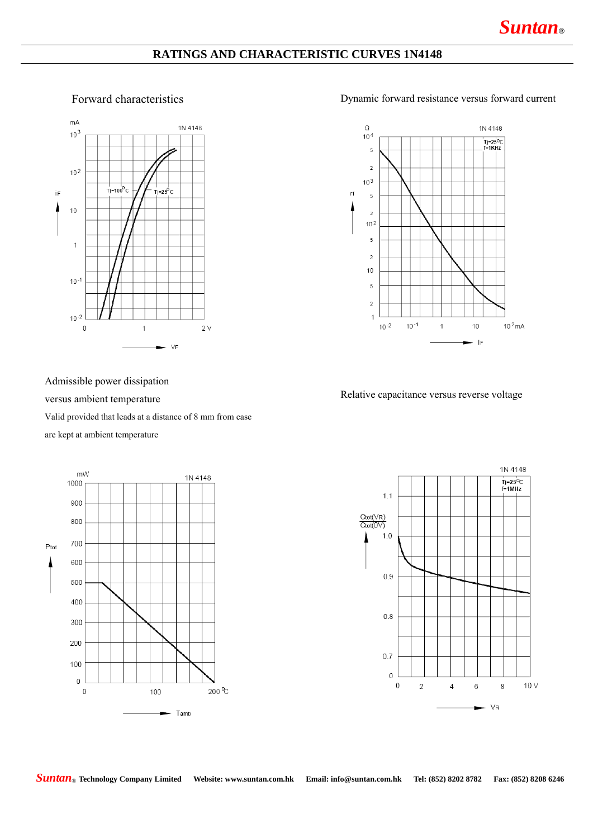#### **RATINGS AND CHARACTERISTIC CURVES 1N4148**



#### Forward characteristics Dynamic forward resistance versus forward current



Admissible power dissipation

#### versus ambient temperature

Valid provided that leads at a distance of 8 mm from case

### are kept at ambient temperature



Relative capacitance versus reverse voltage



*Suntan*® **Technology Company Limited Website: www.suntan.com.hk Email: info@suntan.com.hk Tel: (852) 8202 8782 Fax: (852) 8208 6246**